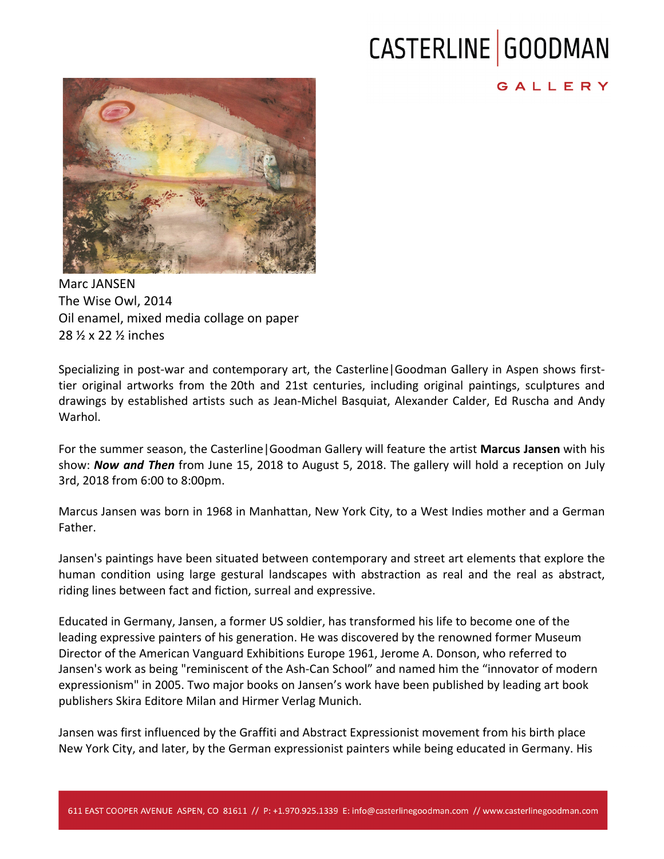## CASTERLINE GOODMAN

## GALLERY



Marc JANSEN The Wise Owl, 2014 Oil enamel, mixed media collage on paper 28 ½ x 22 ½ inches 

Specializing in post-war and contemporary art, the Casterline Goodman Gallery in Aspen shows firsttier original artworks from the 20th and 21st centuries, including original paintings, sculptures and drawings by established artists such as Jean-Michel Basquiat, Alexander Calder, Ed Ruscha and Andy Warhol.

For the summer season, the Casterline Goodman Gallery will feature the artist **Marcus Jansen** with his show: *Now and Then* from June 15, 2018 to August 5, 2018. The gallery will hold a reception on July 3rd, 2018 from 6:00 to 8:00pm.

Marcus Jansen was born in 1968 in Manhattan, New York City, to a West Indies mother and a German Father.

Jansen's paintings have been situated between contemporary and street art elements that explore the human condition using large gestural landscapes with abstraction as real and the real as abstract, riding lines between fact and fiction, surreal and expressive.

Educated in Germany, Jansen, a former US soldier, has transformed his life to become one of the leading expressive painters of his generation. He was discovered by the renowned former Museum Director of the American Vanguard Exhibitions Europe 1961, Jerome A. Donson, who referred to Jansen's work as being "reminiscent of the Ash-Can School" and named him the "innovator of modern expressionism" in 2005. Two major books on Jansen's work have been published by leading art book publishers Skira Editore Milan and Hirmer Verlag Munich.

Jansen was first influenced by the Graffiti and Abstract Expressionist movement from his birth place New York City, and later, by the German expressionist painters while being educated in Germany. His